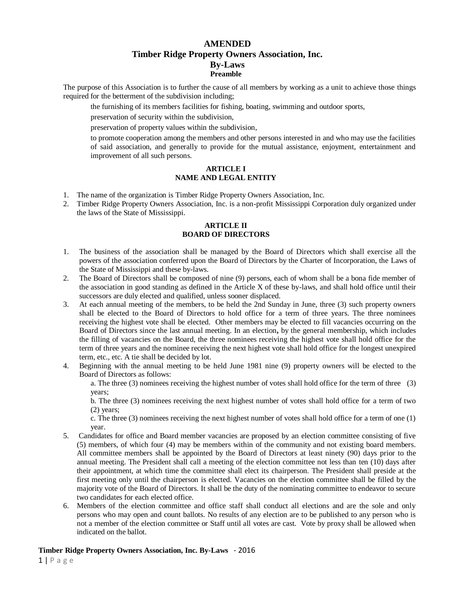# **AMENDED Timber Ridge Property Owners Association, Inc. By-Laws Preamble**

The purpose of this Association is to further the cause of all members by working as a unit to achieve those things required for the betterment of the subdivision including;

the furnishing of its members facilities for fishing, boating, swimming and outdoor sports,

preservation of security within the subdivision,

preservation of property values within the subdivision,

to promote cooperation among the members and other persons interested in and who may use the facilities of said association, and generally to provide for the mutual assistance, enjoyment, entertainment and improvement of all such persons.

## **ARTICLE I NAME AND LEGAL ENTITY**

- 1. The name of the organization is Timber Ridge Property Owners Association, Inc.
- 2. Timber Ridge Property Owners Association, Inc. is a non-profit Mississippi Corporation duly organized under the laws of the State of Mississippi.

#### **ARTICLE II BOARD OF DIRECTORS**

- 1. The business of the association shall be managed by the Board of Directors which shall exercise all the powers of the association conferred upon the Board of Directors by the Charter of Incorporation, the Laws of the State of Mississippi and these by-laws.
- 2. The Board of Directors shall be composed of nine (9) persons, each of whom shall be a bona fide member of the association in good standing as defined in the Article X of these by-laws, and shall hold office until their successors are duly elected and qualified, unless sooner displaced.
- 3. At each annual meeting of the members, to be held the 2nd Sunday in June, three (3) such property owners shall be elected to the Board of Directors to hold office for a term of three years. The three nominees receiving the highest vote shall be elected. Other members may be elected to fill vacancies occurring on the Board of Directors since the last annual meeting. In an election**,** by the general membership, which includes the filling of vacancies on the Board, the three nominees receiving the highest vote shall hold office for the term of three years and the nominee receiving the next highest vote shall hold office for the longest unexpired term, etc., etc. A tie shall be decided by lot.
- 4. Beginning with the annual meeting to be held June 1981 nine (9) property owners will be elected to the Board of Directors as follows:

a. The three (3) nominees receiving the highest number of votes shall hold office for the term of three (3) years;

b. The three (3) nominees receiving the next highest number of votes shall hold office for a term of two (2) years;

c. The three (3) nominees receiving the next highest number of votes shall hold office for a term of one (1) year.

- 5. Candidates for office and Board member vacancies are proposed by an election committee consisting of five (5) members, of which four (4) may be members within of the community and not existing board members. All committee members shall be appointed by the Board of Directors at least ninety (90) days prior to the annual meeting. The President shall call a meeting of the election committee not less than ten (10) days after their appointment, at which time the committee shall elect its chairperson. The President shall preside at the first meeting only until the chairperson is elected. Vacancies on the election committee shall be filled by the majority vote of the Board of Directors. It shall be the duty of the nominating committee to endeavor to secure two candidates for each elected office.
- 6. Members of the election committee and office staff shall conduct all elections and are the sole and only persons who may open and count ballots. No results of any election are to be published to any person who is not a member of the election committee or Staff until all votes are cast. Vote by proxy shall be allowed when indicated on the ballot.

## **Timber Ridge Property Owners Association, Inc. By-Laws** - 2016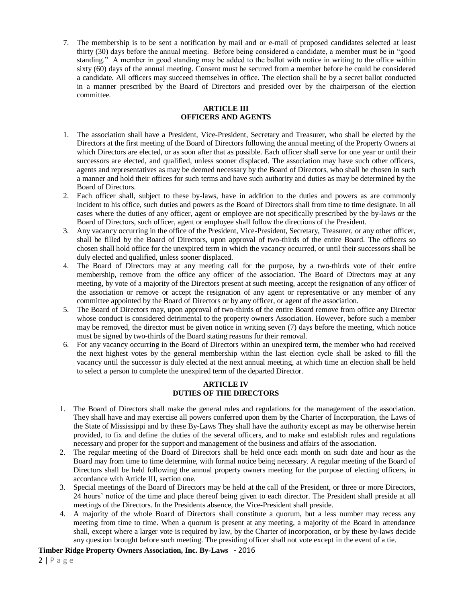7. The membership is to be sent a notification by mail and or e-mail of proposed candidates selected at least thirty (30) days before the annual meeting. Before being considered a candidate, a member must be in "good standing." A member in good standing may be added to the ballot with notice in writing to the office within sixty (60) days of the annual meeting. Consent must be secured from a member before he could be considered a candidate. All officers may succeed themselves in office. The election shall be by a secret ballot conducted in a manner prescribed by the Board of Directors and presided over by the chairperson of the election committee.

# **ARTICLE III OFFICERS AND AGENTS**

- 1. The association shall have a President, Vice-President, Secretary and Treasurer, who shall be elected by the Directors at the first meeting of the Board of Directors following the annual meeting of the Property Owners at which Directors are elected, or as soon after that as possible. Each officer shall serve for one year or until their successors are elected, and qualified, unless sooner displaced. The association may have such other officers, agents and representatives as may be deemed necessary by the Board of Directors, who shall be chosen in such a manner and hold their offices for such terms and have such authority and duties as may be determined by the Board of Directors.
- 2. Each officer shall, subject to these by-laws, have in addition to the duties and powers as are commonly incident to his office, such duties and powers as the Board of Directors shall from time to time designate. In all cases where the duties of any officer, agent or employee are not specifically prescribed by the by-laws or the Board of Directors, such officer, agent or employee shall follow the directions of the President.
- 3. Any vacancy occurring in the office of the President, Vice-President, Secretary, Treasurer, or any other officer, shall be filled by the Board of Directors, upon approval of two-thirds of the entire Board. The officers so chosen shall hold office for the unexpired term in which the vacancy occurred, or until their successors shall be duly elected and qualified, unless sooner displaced.
- 4. The Board of Directors may at any meeting call for the purpose, by a two-thirds vote of their entire membership, remove from the office any officer of the association. The Board of Directors may at any meeting, by vote of a majority of the Directors present at such meeting, accept the resignation of any officer of the association or remove or accept the resignation of any agent or representative or any member of any committee appointed by the Board of Directors or by any officer, or agent of the association.
- 5. The Board of Directors may, upon approval of two-thirds of the entire Board remove from office any Director whose conduct is considered detrimental to the property owners Association. However, before such a member may be removed, the director must be given notice in writing seven (7) days before the meeting, which notice must be signed by two-thirds of the Board stating reasons for their removal.
- 6. For any vacancy occurring in the Board of Directors within an unexpired term, the member who had received the next highest votes by the general membership within the last election cycle shall be asked to fill the vacancy until the successor is duly elected at the next annual meeting, at which time an election shall be held to select a person to complete the unexpired term of the departed Director.

#### **ARTICLE IV DUTIES OF THE DIRECTORS**

- 1. The Board of Directors shall make the general rules and regulations for the management of the association. They shall have and may exercise all powers conferred upon them by the Charter of Incorporation, the Laws of the State of Mississippi and by these By-Laws They shall have the authority except as may be otherwise herein provided, to fix and define the duties of the several officers, and to make and establish rules and regulations necessary and proper for the support and management of the business and affairs of the association.
- 2. The regular meeting of the Board of Directors shall be held once each month on such date and hour as the Board may from time to time determine, with formal notice being necessary. A regular meeting of the Board of Directors shall be held following the annual property owners meeting for the purpose of electing officers, in accordance with Article III, section one.
- 3. Special meetings of the Board of Directors may be held at the call of the President, or three or more Directors, 24 hours' notice of the time and place thereof being given to each director. The President shall preside at all meetings of the Directors. In the Presidents absence, the Vice-President shall preside.
- 4. A majority of the whole Board of Directors shall constitute a quorum, but a less number may recess any meeting from time to time. When a quorum is present at any meeting, a majority of the Board in attendance shall, except where a larger vote is required by law, by the Charter of incorporation, or by these by-laws decide any question brought before such meeting. The presiding officer shall not vote except in the event of a tie.

## **Timber Ridge Property Owners Association, Inc. By-Laws** - 2016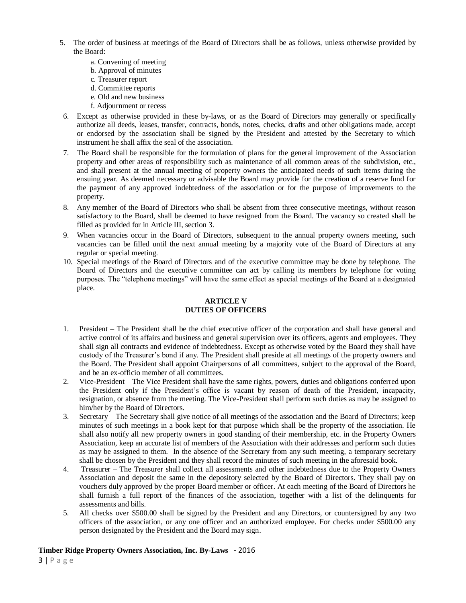- 5. The order of business at meetings of the Board of Directors shall be as follows, unless otherwise provided by the Board:
	- a. Convening of meeting
	- b. Approval of minutes
	- c. Treasurer report
	- d. Committee reports
	- e. Old and new business
	- f. Adjournment or recess
- 6. Except as otherwise provided in these by-laws, or as the Board of Directors may generally or specifically authorize all deeds, leases, transfer, contracts, bonds, notes, checks, drafts and other obligations made, accept or endorsed by the association shall be signed by the President and attested by the Secretary to which instrument he shall affix the seal of the association.
- 7. The Board shall be responsible for the formulation of plans for the general improvement of the Association property and other areas of responsibility such as maintenance of all common areas of the subdivision, etc., and shall present at the annual meeting of property owners the anticipated needs of such items during the ensuing year. As deemed necessary or advisable the Board may provide for the creation of a reserve fund for the payment of any approved indebtedness of the association or for the purpose of improvements to the property.
- 8. Any member of the Board of Directors who shall be absent from three consecutive meetings, without reason satisfactory to the Board, shall be deemed to have resigned from the Board. The vacancy so created shall be filled as provided for in Article III, section 3.
- 9. When vacancies occur in the Board of Directors, subsequent to the annual property owners meeting, such vacancies can be filled until the next annual meeting by a majority vote of the Board of Directors at any regular or special meeting.
- 10. Special meetings of the Board of Directors and of the executive committee may be done by telephone. The Board of Directors and the executive committee can act by calling its members by telephone for voting purposes. The "telephone meetings" will have the same effect as special meetings of the Board at a designated place.

## **ARTICLE V DUTIES OF OFFICERS**

- 1. President The President shall be the chief executive officer of the corporation and shall have general and active control of its affairs and business and general supervision over its officers, agents and employees. They shall sign all contracts and evidence of indebtedness. Except as otherwise voted by the Board they shall have custody of the Treasurer's bond if any. The President shall preside at all meetings of the property owners and the Board. The President shall appoint Chairpersons of all committees, subject to the approval of the Board, and be an ex-officio member of all committees.
- 2. Vice-President The Vice President shall have the same rights, powers, duties and obligations conferred upon the President only if the President's office is vacant by reason of death of the President, incapacity, resignation, or absence from the meeting. The Vice-President shall perform such duties as may be assigned to him/her by the Board of Directors.
- 3. Secretary The Secretary shall give notice of all meetings of the association and the Board of Directors; keep minutes of such meetings in a book kept for that purpose which shall be the property of the association. He shall also notify all new property owners in good standing of their membership, etc. in the Property Owners Association, keep an accurate list of members of the Association with their addresses and perform such duties as may be assigned to them. In the absence of the Secretary from any such meeting, a temporary secretary shall be chosen by the President and they shall record the minutes of such meeting in the aforesaid book.
- 4. Treasurer The Treasurer shall collect all assessments and other indebtedness due to the Property Owners Association and deposit the same in the depository selected by the Board of Directors. They shall pay on vouchers duly approved by the proper Board member or officer. At each meeting of the Board of Directors he shall furnish a full report of the finances of the association, together with a list of the delinquents for assessments and bills.
- 5. All checks over \$500.00 shall be signed by the President and any Directors, or countersigned by any two officers of the association, or any one officer and an authorized employee. For checks under \$500.00 any person designated by the President and the Board may sign.

## **Timber Ridge Property Owners Association, Inc. By-Laws** - 2016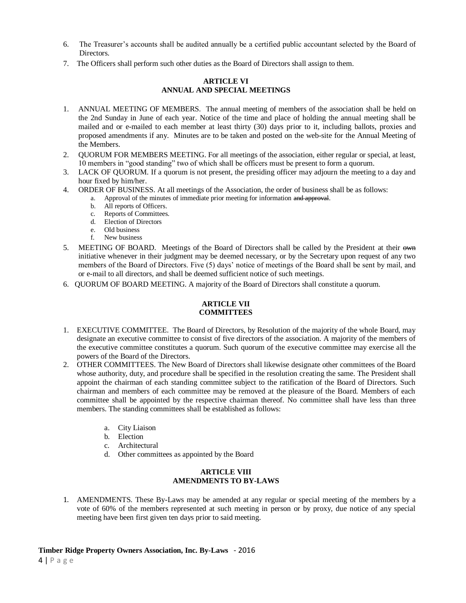- 6. The Treasurer's accounts shall be audited annually be a certified public accountant selected by the Board of **Directors**
- 7. The Officers shall perform such other duties as the Board of Directors shall assign to them.

## **ARTICLE VI ANNUAL AND SPECIAL MEETINGS**

- 1. ANNUAL MEETING OF MEMBERS. The annual meeting of members of the association shall be held on the 2nd Sunday in June of each year. Notice of the time and place of holding the annual meeting shall be mailed and or e-mailed to each member at least thirty (30) days prior to it, including ballots, proxies and proposed amendments if any. Minutes are to be taken and posted on the web-site for the Annual Meeting of the Members.
- 2. QUORUM FOR MEMBERS MEETING. For all meetings of the association, either regular or special, at least, 10 members in "good standing" two of which shall be officers must be present to form a quorum.
- 3. LACK OF QUORUM. If a quorum is not present, the presiding officer may adjourn the meeting to a day and hour fixed by him/her.
- 4. ORDER OF BUSINESS. At all meetings of the Association, the order of business shall be as follows:
	- a. Approval of the minutes of immediate prior meeting for information and approval.
	- b. All reports of Officers.
	- c. Reports of Committees.
	- d. Election of Directors
	- e. Old business
	- f. New business
- 5. MEETING OF BOARD. Meetings of the Board of Directors shall be called by the President at their own initiative whenever in their judgment may be deemed necessary, or by the Secretary upon request of any two members of the Board of Directors. Five (5) days' notice of meetings of the Board shall be sent by mail, and or e-mail to all directors, and shall be deemed sufficient notice of such meetings.
- 6. QUORUM OF BOARD MEETING. A majority of the Board of Directors shall constitute a quorum.

## **ARTICLE VII COMMITTEES**

- 1. EXECUTIVE COMMITTEE. The Board of Directors, by Resolution of the majority of the whole Board, may designate an executive committee to consist of five directors of the association. A majority of the members of the executive committee constitutes a quorum. Such quorum of the executive committee may exercise all the powers of the Board of the Directors.
- 2. OTHER COMMITTEES. The New Board of Directors shall likewise designate other committees of the Board whose authority, duty, and procedure shall be specified in the resolution creating the same. The President shall appoint the chairman of each standing committee subject to the ratification of the Board of Directors. Such chairman and members of each committee may be removed at the pleasure of the Board. Members of each committee shall be appointed by the respective chairman thereof. No committee shall have less than three members. The standing committees shall be established as follows:
	- a. City Liaison
	- b. Election
	- c. Architectural
	- d. Other committees as appointed by the Board

## **ARTICLE VIII AMENDMENTS TO BY-LAWS**

1. AMENDMENTS. These By-Laws may be amended at any regular or special meeting of the members by a vote of 60% of the members represented at such meeting in person or by proxy, due notice of any special meeting have been first given ten days prior to said meeting.